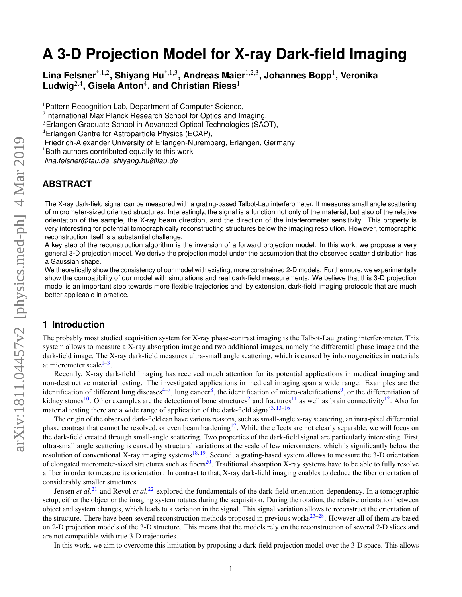# **A 3-D Projection Model for X-ray Dark-field Imaging**

**Lina Felsner**\*,1,2**, Shiyang Hu**\*,1,3**, Andreas Maier**1,2,3**, Johannes Bopp**<sup>1</sup> **, Veronika**  $\mathsf{Ludwig}^{2,4},$  Gisela Anton $^4$ , and Christian Riess $^1$ 

<sup>1</sup> Pattern Recognition Lab, Department of Computer Science,

<sup>2</sup>International Max Planck Research School for Optics and Imaging,

<sup>3</sup>Erlangen Graduate School in Advanced Optical Technologies (SAOT),

<sup>4</sup>Erlangen Centre for Astroparticle Physics (ECAP),

Friedrich-Alexander University of Erlangen-Nuremberg, Erlangen, Germany

\*Both authors contributed equally to this work

*lina.felsner@fau.de, shiyang.hu@fau.de*

# **ABSTRACT**

The X-ray dark-field signal can be measured with a grating-based Talbot-Lau interferometer. It measures small angle scattering of micrometer-sized oriented structures. Interestingly, the signal is a function not only of the material, but also of the relative orientation of the sample, the X-ray beam direction, and the direction of the interferometer sensitivity. This property is very interesting for potential tomographically reconstructing structures below the imaging resolution. However, tomographic reconstruction itself is a substantial challenge.

A key step of the reconstruction algorithm is the inversion of a forward projection model. In this work, we propose a very general 3-D projection model. We derive the projection model under the assumption that the observed scatter distribution has a Gaussian shape.

We theoretically show the consistency of our model with existing, more constrained 2-D models. Furthermore, we experimentally show the compatibility of our model with simulations and real dark-field measurements. We believe that this 3-D projection model is an important step towards more flexible trajectories and, by extension, dark-field imaging protocols that are much better applicable in practice.

# **1 Introduction**

The probably most studied acquisition system for X-ray phase-contrast imaging is the Talbot-Lau grating interferometer. This system allows to measure a X-ray absorption image and two additional images, namely the differential phase image and the dark-field image. The X-ray dark-field measures ultra-small angle scattering, which is caused by inhomogeneities in materials at micrometer scale<sup>[1](#page-11-0)[–3](#page-11-1)</sup>.

Recently, X-ray dark-field imaging has received much attention for its potential applications in medical imaging and non-destructive material testing. The investigated applications in medical imaging span a wide range. Examples are the identification of different lung diseases<sup>[4](#page-11-2)[–7](#page-12-0)</sup>, lung cancer<sup>[8](#page-12-1)</sup>, the identification of micro-calcifications<sup>[9](#page-12-2)</sup>, or the differentiation of kidney stones<sup>[10](#page-12-3)</sup>. Other examples are the detection of bone structures<sup>[2](#page-11-3)</sup> and fractures<sup>[11](#page-12-4)</sup> as well as brain connectivity<sup>[12](#page-12-5)</sup>. Also for material testing there are a wide range of application of the dark-field signal $3,13-16$  $3,13-16$  $3,13-16$ .

The origin of the observed dark-field can have various reasons, such as small-angle x-ray scattering, an intra-pixel differential phase contrast that cannot be resolved, or even beam hardening<sup>[17](#page-12-8)</sup>. While the effects are not clearly separable, we will focus on the dark-field created through small-angle scattering. Two properties of the dark-field signal are particularly interesting. First, ultra-small angle scattering is caused by structural variations at the scale of few micrometers, which is significantly below the resolution of conventional X-ray imaging systems<sup>[18,](#page-12-9) [19](#page-12-10)</sup>. Second, a grating-based system allows to measure the 3-D orientation of elongated micrometer-sized structures such as fibers<sup>[20](#page-12-11)</sup>. Traditional absorption X-ray systems have to be able to fully resolve a fiber in order to measure its orientation. In contrast to that, X-ray dark-field imaging enables to deduce the fiber orientation of considerably smaller structures.

Jensen *et al.*<sup>[21](#page-12-12)</sup> and Revol *et al.*<sup>[22](#page-12-13)</sup> explored the fundamentals of the dark-field orientation-dependency. In a tomographic setup, either the object or the imaging system rotates during the acquisition. During the rotation, the relative orientation between object and system changes, which leads to a variation in the signal. This signal variation allows to reconstruct the orientation of the structure. There have been several reconstruction methods proposed in previous works $^{23-28}$  $^{23-28}$  $^{23-28}$ . However all of them are based on 2-D projection models of the 3-D structure. This means that the models rely on the reconstruction of several 2-D slices and are not compatible with true 3-D trajectories.

In this work, we aim to overcome this limitation by proposing a dark-field projection model over the 3-D space. This allows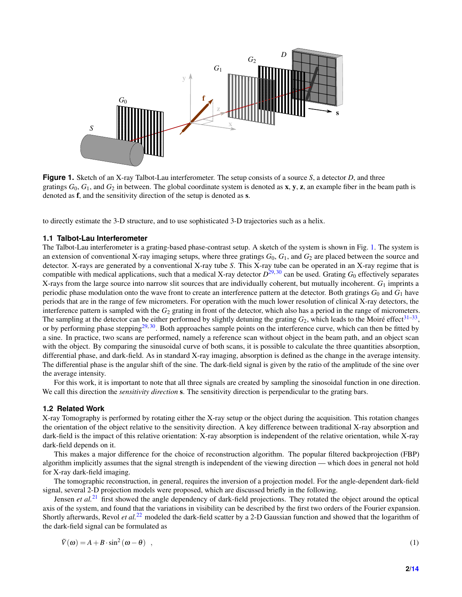<span id="page-1-0"></span>

**Figure 1.** Sketch of an X-ray Talbot-Lau interferometer. The setup consists of a source *S*, a detector *D*, and three gratings  $G_0$ ,  $G_1$ , and  $G_2$  in between. The global coordinate system is denoted as x, y, z, an example fiber in the beam path is denoted as f, and the sensitivity direction of the setup is denoted as s.

to directly estimate the 3-D structure, and to use sophisticated 3-D trajectories such as a helix.

## **1.1 Talbot-Lau Interferometer**

The Talbot-Lau interferometer is a grating-based phase-contrast setup. A sketch of the system is shown in Fig. [1.](#page-1-0) The system is an extension of conventional X-ray imaging setups, where three gratings  $G_0$ ,  $G_1$ , and  $G_2$  are placed between the source and detector. X-rays are generated by a conventional X-ray tube *S*. This X-ray tube can be operated in an X-ray regime that is compatible with medical applications, such that a medical X-ray detector *D* [29,](#page-12-16) [30](#page-12-17) can be used. Grating *G*<sup>0</sup> effectively separates X-rays from the large source into narrow slit sources that are individually coherent, but mutually incoherent. *G*<sup>1</sup> imprints a periodic phase modulation onto the wave front to create an interference pattern at the detector. Both gratings *G*<sup>0</sup> and *G*<sup>1</sup> have periods that are in the range of few micrometers. For operation with the much lower resolution of clinical X-ray detectors, the interference pattern is sampled with the  $G_2$  grating in front of the detector, which also has a period in the range of micrometers. The sampling at the detector can be either performed by slightly detuning the grating  $G_2$ , which leads to the Moiré effect<sup>[31–](#page-12-18)[33](#page-13-0)</sup>, or by performing phase stepping<sup>[29,](#page-12-16) [30](#page-12-17)</sup>. Both approaches sample points on the interference curve, which can then be fitted by a sine. In practice, two scans are performed, namely a reference scan without object in the beam path, and an object scan with the object. By comparing the sinusoidal curve of both scans, it is possible to calculate the three quantities absorption, differential phase, and dark-field. As in standard X-ray imaging, absorption is defined as the change in the average intensity. The differential phase is the angular shift of the sine. The dark-field signal is given by the ratio of the amplitude of the sine over the average intensity.

For this work, it is important to note that all three signals are created by sampling the sinosoidal function in one direction. We call this direction the *sensitivity direction* s. The sensitivity direction is perpendicular to the grating bars.

## <span id="page-1-1"></span>**1.2 Related Work**

X-ray Tomography is performed by rotating either the X-ray setup or the object during the acquisition. This rotation changes the orientation of the object relative to the sensitivity direction. A key difference between traditional X-ray absorption and dark-field is the impact of this relative orientation: X-ray absorption is independent of the relative orientation, while X-ray dark-field depends on it.

This makes a major difference for the choice of reconstruction algorithm. The popular filtered backprojection (FBP) algorithm implicitly assumes that the signal strength is independent of the viewing direction — which does in general not hold for X-ray dark-field imaging.

The tomographic reconstruction, in general, requires the inversion of a projection model. For the angle-dependent dark-field signal, several 2-D projection models were proposed, which are discussed briefly in the following.

Jensen *et al.*[21](#page-12-12) first showed the angle dependency of dark-field projections. They rotated the object around the optical axis of the system, and found that the variations in visibility can be described by the first two orders of the Fourier expansion. Shortly afterwards, Revol *et al.*[22](#page-12-13) modeled the dark-field scatter by a 2-D Gaussian function and showed that the logarithm of the dark-field signal can be formulated as

$$
\tilde{V}(\omega) = A + B \cdot \sin^2(\omega - \theta) \quad , \tag{1}
$$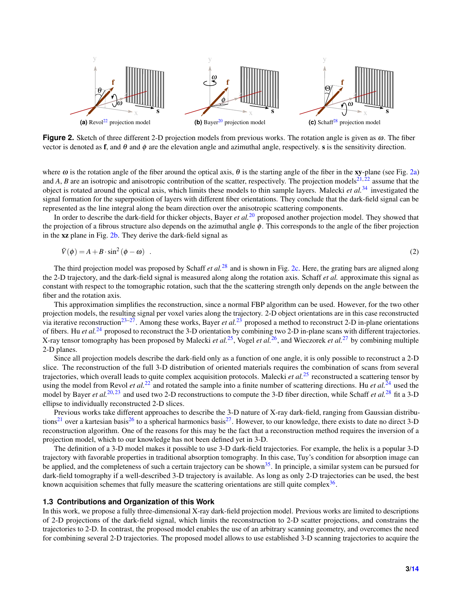<span id="page-2-3"></span><span id="page-2-2"></span><span id="page-2-1"></span><span id="page-2-0"></span>

**Figure 2.** Sketch of three different 2-D projection models from previous works. The rotation angle is given as ω. The fiber vector is denoted as f, and  $\theta$  and  $\phi$  are the elevation angle and azimuthal angle, respectively. s is the sensitivity direction.

where  $\omega$  is the rotation angle of the fiber around the optical axis,  $\theta$  is the starting angle of the fiber in the xy-plane (see Fig. [2a\)](#page-2-0) and *A*, *B* are an isotropic and anisotropic contribution of the scatter, respectively. The projection models<sup>[21,](#page-12-12)  $\bar{2}^2$ </sup> assume that the object is rotated around the optical axis, which limits these models to thin sample layers. Malecki *et al.*[34](#page-13-2) investigated the signal formation for the superposition of layers with different fiber orientations. They conclude that the dark-field signal can be represented as the line integral along the beam direction over the anisotropic scattering components.

In order to describe the dark-field for thicker objects, Bayer *et al.*[20](#page-12-11) proposed another projection model. They showed that the projection of a fibrous structure also depends on the azimuthal angle  $\phi$ . This corresponds to the angle of the fiber projection in the xz plane in Fig. [2b.](#page-2-1) They derive the dark-field signal as

$$
\tilde{V}(\phi) = A + B \cdot \sin^2(\phi - \omega) \quad . \tag{2}
$$

The third projection model was proposed by Schaff *et al.*<sup>[28](#page-12-15)</sup> and is shown in Fig. [2c.](#page-2-2) Here, the grating bars are aligned along the 2-D trajectory, and the dark-field signal is measured along along the rotation axis. Schaff *et al.* approximate this signal as constant with respect to the tomographic rotation, such that the the scattering strength only depends on the angle between the fiber and the rotation axis.

This approximation simplifies the reconstruction, since a normal FBP algorithm can be used. However, for the two other projection models, the resulting signal per voxel varies along the trajectory. 2-D object orientations are in this case reconstructed via iterative reconstruction<sup>[23–](#page-12-14)[27](#page-12-19)</sup>. Among these works, Bayer *et al.*<sup>[23](#page-12-14)</sup> proposed a method to reconstruct 2-D in-plane orientations of fibers. Hu *et al.*[24](#page-12-20) proposed to reconstruct the 3-D orientation by combining two 2-D in-plane scans with different trajectories. X-ray tensor tomography has been proposed by Malecki *et al.*[25](#page-12-21), Vogel *et al.*[26](#page-12-22), and Wieczorek *et al.*[27](#page-12-19) by combining multiple 2-D planes.

Since all projection models describe the dark-field only as a function of one angle, it is only possible to reconstruct a 2-D slice. The reconstruction of the full 3-D distribution of oriented materials requires the combination of scans from several trajectories, which overall leads to quite complex acquisition protocols. Malecki *et al.*[25](#page-12-21) reconstructed a scattering tensor by using the model from Revol *et al.*<sup>[22](#page-12-13)</sup> and rotated the sample into a finite number of scattering directions. Hu *et al.*<sup>[24](#page-12-20)</sup> used the model by Bayer *et al.*<sup>[20,](#page-12-11) [23](#page-12-14)</sup> and used two 2-D reconstructions to compute the 3-D fiber direction, while Schaff *et al.*<sup>[28](#page-12-15)</sup> fit a 3-D ellipse to individually reconstructed 2-D slices.

Previous works take different approaches to describe the 3-D nature of X-ray dark-field, ranging from Gaussian distribu-tions<sup>[21](#page-12-12)</sup> over a kartesian basis<sup>[26](#page-12-22)</sup> to a spherical harmonics basis<sup>[27](#page-12-19)</sup>. However, to our knowledge, there exists to date no direct 3-D reconstruction algorithm. One of the reasons for this may be the fact that a reconstruction method requires the inversion of a projection model, which to our knowledge has not been defined yet in 3-D.

The definition of a 3-D model makes it possible to use 3-D dark-field trajectories. For example, the helix is a popular 3-D trajectory with favorable properties in traditional absorption tomography. In this case, Tuy's condition for absorption image can be applied, and the completeness of such a certain trajectory can be shown $35$ . In principle, a similar system can be pursued for dark-field tomography if a well-described 3-D trajectory is available. As long as only 2-D trajectories can be used, the best known acquisition schemes that fully measure the scattering orientations are still quite complex $36$ .

## **1.3 Contributions and Organization of this Work**

In this work, we propose a fully three-dimensional X-ray dark-field projection model. Previous works are limited to descriptions of 2-D projections of the dark-field signal, which limits the reconstruction to 2-D scatter projections, and constrains the trajectories to 2-D. In contrast, the proposed model enables the use of an arbitrary scanning geometry, and overcomes the need for combining several 2-D trajectories. The proposed model allows to use established 3-D scanning trajectories to acquire the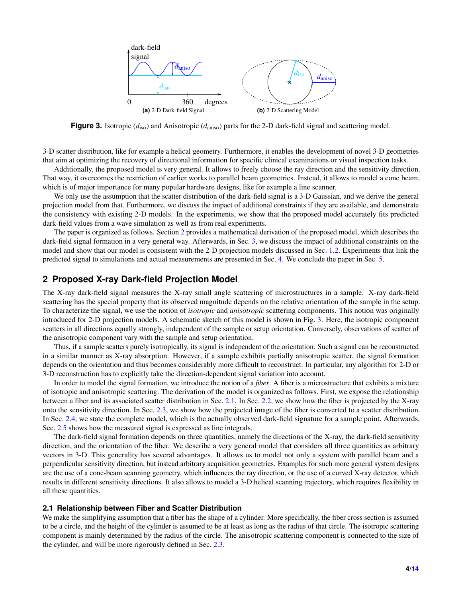<span id="page-3-1"></span>

**Figure 3.** Isotropic ( $d_{\text{iso}}$ ) and Anisotropic ( $d_{\text{aniso}}$ ) parts for the 2-D dark-field signal and scattering model.

3-D scatter distribution, like for example a helical geometry. Furthermore, it enables the development of novel 3-D geometries that aim at optimizing the recovery of directional information for specific clinical examinations or visual inspection tasks.

Additionally, the proposed model is very general. It allows to freely choose the ray direction and the sensitivity direction. That way, it overcomes the restriction of earlier works to parallel beam geometries. Instead, it allows to model a cone beam, which is of major importance for many popular hardware designs, like for example a line scanner.

We only use the assumption that the scatter distribution of the dark-field signal is a 3-D Gaussian, and we derive the general projection model from that. Furthermore, we discuss the impact of additional constraints if they are available, and demonstrate the consistency with existing 2-D models. In the experiments, we show that the proposed model accurately fits predicted dark-field values from a wave simulation as well as from real experiments.

The paper is organized as follows. Section [2](#page-3-0) provides a mathematical derivation of the proposed model, which describes the dark-field signal formation in a very general way. Afterwards, in Sec. [3,](#page-7-0) we discuss the impact of additional constraints on the model and show that our model is consistent with the 2-D projection models discussed in Sec. [1.2.](#page-1-1) Experiments that link the predicted signal to simulations and actual measurements are presented in Sec. [4.](#page-8-0) We conclude the paper in Sec. [5.](#page-10-0)

# <span id="page-3-0"></span>**2 Proposed X-ray Dark-field Projection Model**

The X-ray dark-field signal measures the X-ray small angle scattering of microstructures in a sample. X-ray dark-field scattering has the special property that its observed magnitude depends on the relative orientation of the sample in the setup. To characterize the signal, we use the notion of *isotropic* and *anisotropic* scattering components. This notion was originally introduced for 2-D projection models. A schematic sketch of this model is shown in Fig. [3.](#page-3-1) Here, the isotropic component scatters in all directions equally strongly, independent of the sample or setup orientation. Conversely, observations of scatter of the anisotropic component vary with the sample and setup orientation.

Thus, if a sample scatters purely isotropically, its signal is independent of the orientation. Such a signal can be reconstructed in a similar manner as X-ray absorption. However, if a sample exhibits partially anisotropic scatter, the signal formation depends on the orientation and thus becomes considerably more difficult to reconstruct. In particular, any algorithm for 2-D or 3-D reconstruction has to explicitly take the direction-dependent signal variation into account.

In order to model the signal formation, we introduce the notion of a *fiber*. A fiber is a microstructure that exhibits a mixture of isotropic and anisotropic scattering. The derivation of the model is organized as follows. First, we expose the relationship between a fiber and its associated scatter distribution in Sec. [2.1.](#page-3-2) In Sec. [2.2,](#page-4-0) we show how the fiber is projected by the X-ray onto the sensitivity direction. In Sec. [2.3,](#page-5-0) we show how the projected image of the fiber is converted to a scatter distribution. In Sec. [2.4,](#page-6-0) we state the complete model, which is the actually observed dark-field signature for a sample point. Afterwards, Sec. [2.5](#page-7-1) shows how the measured signal is expressed as line integrals.

The dark-field signal formation depends on three quantities, namely the directions of the X-ray, the dark-field sensitivity direction, and the orientation of the fiber. We describe a very general model that considers all three quantities as arbitrary vectors in 3-D. This generality has several advantages. It allows us to model not only a system with parallel beam and a perpendicular sensitivity direction, but instead arbitrary acquisition geometries. Examples for such more general system designs are the use of a cone-beam scanning geometry, which influences the ray direction, or the use of a curved X-ray detector, which results in different sensitivity directions. It also allows to model a 3-D helical scanning trajectory, which requires flexibility in all these quantities.

#### <span id="page-3-2"></span>**2.1 Relationship between Fiber and Scatter Distribution**

We make the simplifying assumption that a fiber has the shape of a cylinder. More specifically, the fiber cross section is assumed to be a circle, and the height of the cylinder is assumed to be at least as long as the radius of that circle. The isotropic scattering component is mainly determined by the radius of the circle. The anisotropic scattering component is connected to the size of the cylinder, and will be more rigorously defined in Sec. [2.3.](#page-5-0)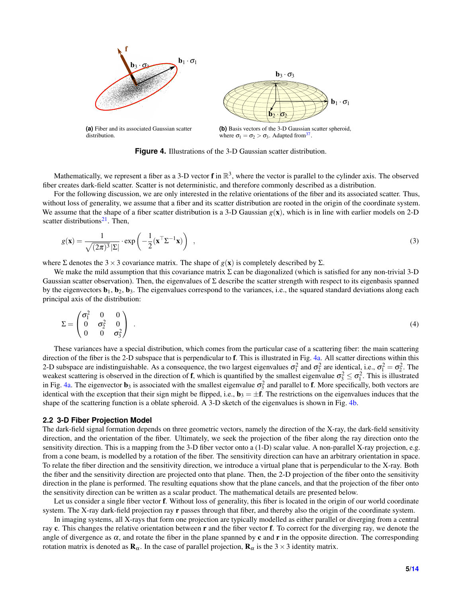<span id="page-4-1"></span>

<span id="page-4-2"></span>**Figure 4.** Illustrations of the 3-D Gaussian scatter distribution.

Mathematically, we represent a fiber as a 3-D vector  $f$  in  $\mathbb{R}^3$ , where the vector is parallel to the cylinder axis. The observed fiber creates dark-field scatter. Scatter is not deterministic, and therefore commonly described as a distribution.

For the following discussion, we are only interested in the relative orientations of the fiber and its associated scatter. Thus, without loss of generality, we assume that a fiber and its scatter distribution are rooted in the origin of the coordinate system. We assume that the shape of a fiber scatter distribution is a 3-D Gaussian  $g(x)$ , which is in line with earlier models on 2-D scatter distributions $2<sup>1</sup>$ . Then,

$$
g(\mathbf{x}) = \frac{1}{\sqrt{(2\pi)^3} |\Sigma|} \cdot \exp\left(-\frac{1}{2} (\mathbf{x}^\top \Sigma^{-1} \mathbf{x})\right) , \qquad (3)
$$

where  $\Sigma$  denotes the 3 × 3 covariance matrix. The shape of  $g(\mathbf{x})$  is completely described by  $\Sigma$ .

We make the mild assumption that this covariance matrix  $\Sigma$  can be diagonalized (which is satisfied for any non-trivial 3-D Gaussian scatter observation). Then, the eigenvalues of  $\Sigma$  describe the scatter strength with respect to its eigenbasis spanned by the eigenvectors  $\mathbf{b}_1$ ,  $\mathbf{b}_2$ ,  $\mathbf{b}_3$ . The eigenvalues correspond to the variances, i.e., the squared standard deviations along each principal axis of the distribution:

$$
\Sigma = \begin{pmatrix} \sigma_1^2 & 0 & 0 \\ 0 & \sigma_2^2 & 0 \\ 0 & 0 & \sigma_3^2 \end{pmatrix} \tag{4}
$$

These variances have a special distribution, which comes from the particular case of a scattering fiber: the main scattering direction of the fiber is the 2-D subspace that is perpendicular to f. This is illustrated in Fig. [4a.](#page-4-1) All scatter directions within this 2-D subspace are indistinguishable. As a consequence, the two largest eigenvalues  $\sigma_1^2$  and  $\sigma_2^2$  are identical, i.e.,  $\sigma_1^2 = \sigma_2^2$ . The weakest scattering is observed in the direction of **f**, which is quantified by the smallest eigenvalue  $\sigma_3^2 \leq \sigma_1^2$ . This is illustrated in Fig. [4a.](#page-4-1) The eigenvector  $\mathbf{b}_3$  is associated with the smallest eigenvalue  $\sigma_3^2$  and parallel to **f**. More specifically, both vectors are identical with the exception that their sign might be flipped, i.e.,  $\mathbf{b}_3 = \pm \mathbf{f}$ . The restrictions on the eigenvalues induces that the shape of the scattering function is a oblate spheroid. A 3-D sketch of the eigenvalues is shown in Fig. [4b.](#page-4-2)

#### <span id="page-4-0"></span>**2.2 3-D Fiber Projection Model**

The dark-field signal formation depends on three geometric vectors, namely the direction of the X-ray, the dark-field sensitivity direction, and the orientation of the fiber. Ultimately, we seek the projection of the fiber along the ray direction onto the sensitivity direction. This is a mapping from the 3-D fiber vector onto a (1-D) scalar value. A non-parallel X-ray projection, e.g. from a cone beam, is modelled by a rotation of the fiber. The sensitivity direction can have an arbitrary orientation in space. To relate the fiber direction and the sensitivity direction, we introduce a virtual plane that is perpendicular to the X-ray. Both the fiber and the sensitivity direction are projected onto that plane. Then, the 2-D projection of the fiber onto the sensitivity direction in the plane is performed. The resulting equations show that the plane cancels, and that the projection of the fiber onto the sensitivity direction can be written as a scalar product. The mathematical details are presented below.

Let us consider a single fiber vector f. Without loss of generality, this fiber is located in the origin of our world coordinate system. The X-ray dark-field projection ray r passes through that fiber, and thereby also the origin of the coordinate system.

In imaging systems, all X-rays that form one projection are typically modelled as either parallel or diverging from a central ray c. This changes the relative orientation between r and the fiber vector f. To correct for the diverging ray, we denote the angle of divergence as  $\alpha$ , and rotate the fiber in the plane spanned by c and r in the opposite direction. The corresponding rotation matrix is denoted as  $\mathbf{R}_{\alpha}$ . In the case of parallel projection,  $\mathbf{R}_{\alpha}$  is the 3 × 3 identity matrix.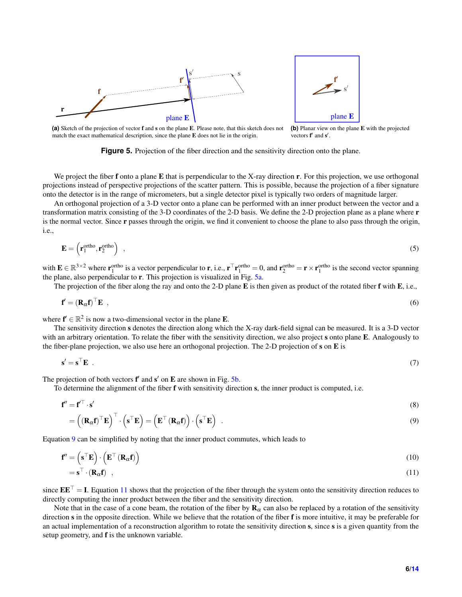<span id="page-5-1"></span>

<span id="page-5-2"></span>

**(a)** Sketch of the projection of vector f and s on the plane E. Please note, that this sketch does not match the exact mathematical description, since the plane E does not lie in the origin. **(b)** Planar view on the plane E with the projected vectors  $f'$  and  $s'$ .

**Figure 5.** Projection of the fiber direction and the sensitivity direction onto the plane.

We project the fiber  $f$  onto a plane  $E$  that is perpendicular to the X-ray direction  $r$ . For this projection, we use orthogonal projections instead of perspective projections of the scatter pattern. This is possible, because the projection of a fiber signature onto the detector is in the range of micrometers, but a single detector pixel is typically two orders of magnitude larger.

An orthogonal projection of a 3-D vector onto a plane can be performed with an inner product between the vector and a transformation matrix consisting of the 3-D coordinates of the 2-D basis. We define the 2-D projection plane as a plane where r is the normal vector. Since r passes through the origin, we find it convenient to choose the plane to also pass through the origin, i.e.,

$$
\mathbf{E} = \left(\mathbf{r}_1^{\text{ortho}}, \mathbf{r}_2^{\text{ortho}}\right) \tag{5}
$$

with  $\mathbf{E} \in \mathbb{R}^{3 \times 2}$  where  $\mathbf{r}_1^{\text{ortho}}$  is a vector perpendicular to  $\mathbf{r}$ , i.e.,  $\mathbf{r}^\top \mathbf{r}_1^{\text{ortho}} = 0$ , and  $\mathbf{r}_2^{\text{ortho}} = \mathbf{r} \times \mathbf{r}_1^{\text{ortho}}$  is the second vector spanning the plane, also perpendicular to r. This projection is visualized in Fig. [5a.](#page-5-1)

The projection of the fiber along the ray and onto the 2-D plane  $\bf{E}$  is then given as product of the rotated fiber  $\bf{f}$  with  $\bf{E}$ , i.e.,

$$
\mathbf{f}' = (\mathbf{R}_{\alpha} \mathbf{f})^{\top} \mathbf{E} \tag{6}
$$

where  $f' \in \mathbb{R}^2$  is now a two-dimensional vector in the plane **E**.

The sensitivity direction s denotes the direction along which the X-ray dark-field signal can be measured. It is a 3-D vector with an arbitrary orientation. To relate the fiber with the sensitivity direction, we also project s onto plane E. Analogously to the fiber-plane projection, we also use here an orthogonal projection. The 2-D projection of  $s$  on  $E$  is

$$
\mathbf{s}' = \mathbf{s}^\top \mathbf{E} \tag{7}
$$

The projection of both vectors  $f'$  and  $s'$  on  $E$  are shown in Fig. [5b.](#page-5-2)

To determine the alignment of the fiber f with sensitivity direction s, the inner product is computed, i.e.

$$
\mathbf{f}'' = \mathbf{f}'^\top \cdot \mathbf{s}' \tag{8}
$$

<span id="page-5-3"></span>
$$
= \left( \left( \mathbf{R}_{\alpha} \mathbf{f} \right)^{\top} \mathbf{E} \right)^{\top} \cdot \left( \mathbf{s}^{\top} \mathbf{E} \right) = \left( \mathbf{E}^{\top} \left( \mathbf{R}_{\alpha} \mathbf{f} \right) \right) \cdot \left( \mathbf{s}^{\top} \mathbf{E} \right) . \tag{9}
$$

Equation [9](#page-5-3) can be simplified by noting that the inner product commutes, which leads to

$$
\mathbf{f}'' = \left(\mathbf{s}^\top \mathbf{E}\right) \cdot \left(\mathbf{E}^\top \left(\mathbf{R}_{\alpha} \mathbf{f}\right)\right) \tag{10}
$$

<span id="page-5-4"></span>
$$
= \mathbf{s}^{\top} \cdot (\mathbf{R}_{\alpha} \mathbf{f}) \quad , \tag{11}
$$

since  $\mathbf{E}\mathbf{E}^{\top} = \mathbf{I}$ . Equation [11](#page-5-4) shows that the projection of the fiber through the system onto the sensitivity direction reduces to directly computing the inner product between the fiber and the sensitivity direction.

<span id="page-5-0"></span>Note that in the case of a cone beam, the rotation of the fiber by  $\mathbf{R}_{\alpha}$  can also be replaced by a rotation of the sensitivity direction s in the opposite direction. While we believe that the rotation of the fiber f is more intuitive, it may be preferable for an actual implementation of a reconstruction algorithm to rotate the sensitivity direction s, since s is a given quantity from the setup geometry, and f is the unknown variable.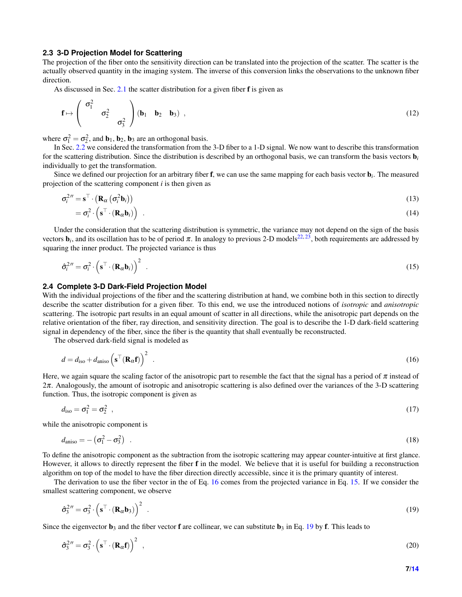## **2.3 3-D Projection Model for Scattering**

The projection of the fiber onto the sensitivity direction can be translated into the projection of the scatter. The scatter is the actually observed quantity in the imaging system. The inverse of this conversion links the observations to the unknown fiber direction.

As discussed in Sec. [2.1](#page-3-2) the scatter distribution for a given fiber f is given as

$$
\mathbf{f} \mapsto \begin{pmatrix} \sigma_1^2 & \\ & \sigma_2^2 & \\ & & \sigma_3^2 \end{pmatrix} \begin{pmatrix} \mathbf{b}_1 & \mathbf{b}_2 & \mathbf{b}_3 \end{pmatrix} \,, \tag{12}
$$

where  $\sigma_1^2 = \sigma_2^2$ , and  $\mathbf{b}_1$ ,  $\mathbf{b}_2$ ,  $\mathbf{b}_3$  are an orthogonal basis.

In Sec. [2.2](#page-4-0) we considered the transformation from the 3-D fiber to a 1-D signal. We now want to describe this transformation for the scattering distribution. Since the distribution is described by an orthogonal basis, we can transform the basis vectors  $\mathbf{b}_i$ individually to get the transformation.

Since we defined our projection for an arbitrary fiber f, we can use the same mapping for each basis vector b*<sup>i</sup>* . The measured projection of the scattering component *i* is then given as

$$
\sigma_i^{2\prime\prime} = \mathbf{s}^\top \cdot \left( \mathbf{R}_{\alpha} \left( \sigma_i^2 \mathbf{b}_i \right) \right)
$$
  
= 
$$
\sigma_i^2 \cdot \left( \mathbf{s}^\top \cdot \left( \mathbf{R}_{\alpha} \mathbf{b}_i \right) \right)
$$
 (13)

Under the consideration that the scattering distribution is symmetric, the variance may not depend on the sign of the basis vectors  $\mathbf{b}_i$ , and its oscillation has to be of period  $\pi$ . In analogy to previous 2-D models<sup>[22,](#page-12-13)[23](#page-12-14)</sup>, both requirements are addressed by squaring the inner product. The projected variance is thus

<span id="page-6-2"></span>
$$
\hat{\sigma}_i^{2\prime\prime} = \sigma_i^2 \cdot \left( \mathbf{s}^\top \cdot (\mathbf{R}_{\alpha} \mathbf{b}_i) \right)^2 \tag{15}
$$

## <span id="page-6-0"></span>**2.4 Complete 3-D Dark-Field Projection Model**

With the individual projections of the fiber and the scattering distribution at hand, we combine both in this section to directly describe the scatter distribution for a given fiber. To this end, we use the introduced notions of *isotropic* and *anisotropic* scattering. The isotropic part results in an equal amount of scatter in all directions, while the anisotropic part depends on the relative orientation of the fiber, ray direction, and sensitivity direction. The goal is to describe the 1-D dark-field scattering signal in dependency of the fiber, since the fiber is the quantity that shall eventually be reconstructed.

The observed dark-field signal is modeled as

<span id="page-6-1"></span>
$$
d = d_{\text{iso}} + d_{\text{aniso}} \left( \mathbf{s}^\top (\mathbf{R}_{\alpha} \mathbf{f}) \right)^2 \tag{16}
$$

Here, we again square the scaling factor of the anisotropic part to resemble the fact that the signal has a period of  $\pi$  instead of 2π. Analogously, the amount of isotropic and anisotropic scattering is also defined over the variances of the 3-D scattering function. Thus, the isotropic component is given as

$$
d_{\rm iso} = \sigma_1^2 = \sigma_2^2 \quad , \tag{17}
$$

while the anisotropic component is

$$
d_{\text{aniso}} = -\left(\sigma_1^2 - \sigma_3^2\right) \tag{18}
$$

To define the anisotropic component as the subtraction from the isotropic scattering may appear counter-intuitive at first glance. However, it allows to directly represent the fiber f in the model. We believe that it is useful for building a reconstruction algorithm on top of the model to have the fiber direction directly accessible, since it is the primary quantity of interest.

The derivation to use the fiber vector in the of Eq. [16](#page-6-1) comes from the projected variance in Eq. [15.](#page-6-2) If we consider the smallest scattering component, we observe

<span id="page-6-3"></span>
$$
\hat{\sigma}_3^{2\prime\prime} = \sigma_3^2 \cdot \left( \mathbf{s}^\top \cdot (\mathbf{R}_{\alpha} \mathbf{b}_3) \right)^2 \tag{19}
$$

Since the eigenvector  $\mathbf{b}_3$  and the fiber vector **f** are collinear, we can substitute  $\mathbf{b}_3$  in Eq. [19](#page-6-3) by **f**. This leads to

$$
\hat{\sigma}_3^{2\prime\prime} = \sigma_3^2 \cdot \left( \mathbf{s}^\top \cdot (\mathbf{R}_{\alpha} \mathbf{f}) \right)^2 \tag{20}
$$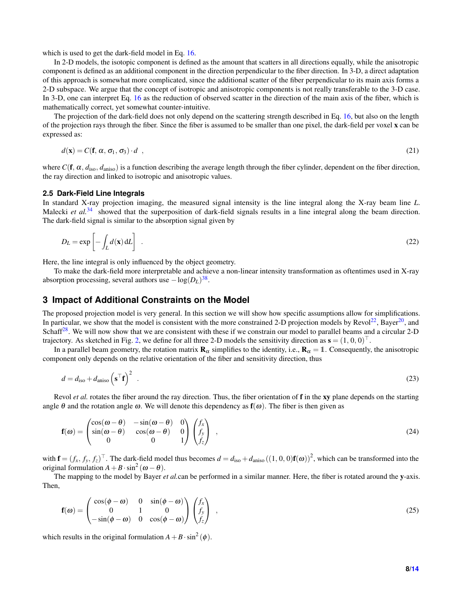which is used to get the dark-field model in Eq. [16.](#page-6-1)

In 2-D models, the isotopic component is defined as the amount that scatters in all directions equally, while the anisotropic component is defined as an additional component in the direction perpendicular to the fiber direction. In 3-D, a direct adaptation of this approach is somewhat more complicated, since the additional scatter of the fiber perpendicular to its main axis forms a 2-D subspace. We argue that the concept of isotropic and anisotropic components is not really transferable to the 3-D case. In 3-D, one can interpret Eq. [16](#page-6-1) as the reduction of observed scatter in the direction of the main axis of the fiber, which is mathematically correct, yet somewhat counter-intuitive.

The projection of the dark-field does not only depend on the scattering strength described in Eq. [16,](#page-6-1) but also on the length of the projection rays through the fiber. Since the fiber is assumed to be smaller than one pixel, the dark-field per voxel x can be expressed as:

<span id="page-7-2"></span>
$$
d(\mathbf{x}) = C(\mathbf{f}, \alpha, \sigma_1, \sigma_3) \cdot d \tag{21}
$$

where  $C(f, \alpha, d_{\text{iso}}, d_{\text{aniso}})$  is a function describing the average length through the fiber cylinder, dependent on the fiber direction, the ray direction and linked to isotropic and anisotropic values.

#### <span id="page-7-1"></span>**2.5 Dark-Field Line Integrals**

In standard X-ray projection imaging, the measured signal intensity is the line integral along the X-ray beam line *L*. Malecki *et al.*<sup>[34](#page-13-2)</sup> showed that the superposition of dark-field signals results in a line integral along the beam direction. The dark-field signal is similar to the absorption signal given by

<span id="page-7-3"></span>
$$
D_L = \exp\left[-\int_L d(\mathbf{x}) \, \mathrm{d}L\right] \tag{22}
$$

Here, the line integral is only influenced by the object geometry.

To make the dark-field more interpretable and achieve a non-linear intensity transformation as oftentimes used in X-ray absorption processing, several authors use  $-\log(D_L)^{38}$  $-\log(D_L)^{38}$  $-\log(D_L)^{38}$ .

# <span id="page-7-0"></span>**3 Impact of Additional Constraints on the Model**

The proposed projection model is very general. In this section we will show how specific assumptions allow for simplifications. In particular, we show that the model is consistent with the more constrained 2-D projection models by  $Revol<sup>22</sup>$  $Revol<sup>22</sup>$  $Revol<sup>22</sup>$ , Bayer<sup>[20](#page-12-11)</sup>, and Schaff<sup>[28](#page-12-15)</sup>. We will now show that we are consistent with these if we constrain our model to parallel beams and a circular 2-D trajectory. As sketched in Fig. [2,](#page-2-3) we define for all three 2-D models the sensitivity direction as  $s = (1, 0, 0)^{\top}$ .

In a parallel beam geometry, the rotation matrix  $\mathbf{R}_{\alpha}$  simplifies to the identity, i.e.,  $\mathbf{R}_{\alpha} = 1$ . Consequently, the anisotropic component only depends on the relative orientation of the fiber and sensitivity direction, thus

$$
d = d_{\text{iso}} + d_{\text{aniso}} \left( \mathbf{s}^{\top} \mathbf{f} \right)^2 \tag{23}
$$

Revol *et al.* rotates the fiber around the ray direction. Thus, the fiber orientation of **f** in the **xy** plane depends on the starting angle  $\theta$  and the rotation angle  $\omega$ . We will denote this dependency as  $f(\omega)$ . The fiber is then given as

$$
\mathbf{f}(\boldsymbol{\omega}) = \begin{pmatrix} \cos(\boldsymbol{\omega} - \boldsymbol{\theta}) & -\sin(\boldsymbol{\omega} - \boldsymbol{\theta}) & 0 \\ \sin(\boldsymbol{\omega} - \boldsymbol{\theta}) & \cos(\boldsymbol{\omega} - \boldsymbol{\theta}) & 0 \\ 0 & 0 & 1 \end{pmatrix} \begin{pmatrix} f_x \\ f_y \\ f_z \end{pmatrix} , \qquad (24)
$$

with  $\mathbf{f} = (f_x, f_y, f_z)^\top$ . The dark-field model thus becomes  $d = d_{iso} + d_{aniso}((1, 0, 0)\mathbf{f}(\omega))^2$ , which can be transformed into the original formulation  $A + B \cdot \sin^2 (\omega - \theta)$ .

The mapping to the model by Bayer *et al.*can be performed in a similar manner. Here, the fiber is rotated around the y-axis. Then,

$$
\mathbf{f}(\boldsymbol{\omega}) = \begin{pmatrix} \cos(\phi - \boldsymbol{\omega}) & 0 & \sin(\phi - \boldsymbol{\omega}) \\ 0 & 1 & 0 \\ -\sin(\phi - \boldsymbol{\omega}) & 0 & \cos(\phi - \boldsymbol{\omega}) \end{pmatrix} \begin{pmatrix} f_x \\ f_y \\ f_z \end{pmatrix} , \qquad (25)
$$

which results in the original formulation  $A + B \cdot \sin^2(\phi)$ .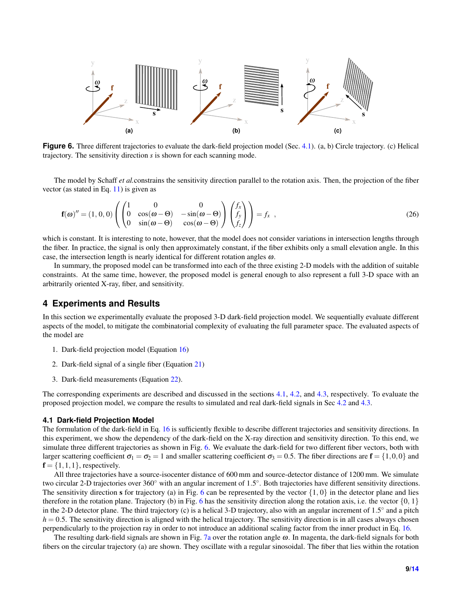<span id="page-8-2"></span>

**Figure 6.** Three different trajectories to evaluate the dark-field projection model (Sec. [4.1\)](#page-8-1). (a, b) Circle trajectory. (c) Helical trajectory. The sensitivity direction *s* is shown for each scanning mode.

The model by Schaff *et al.*constrains the sensitivity direction parallel to the rotation axis. Then, the projection of the fiber vector (as stated in Eq. [11\)](#page-5-4) is given as

$$
\mathbf{f}(\boldsymbol{\omega})'' = (1,0,0) \left( \begin{pmatrix} 1 & 0 & 0 \\ 0 & \cos(\boldsymbol{\omega} - \boldsymbol{\Theta}) & -\sin(\boldsymbol{\omega} - \boldsymbol{\Theta}) \\ 0 & \sin(\boldsymbol{\omega} - \boldsymbol{\Theta}) & \cos(\boldsymbol{\omega} - \boldsymbol{\Theta}) \end{pmatrix} \begin{pmatrix} f_x \\ f_y \\ f_z \end{pmatrix} \right) = f_x ,
$$
\n(26)

which is constant. It is interesting to note, however, that the model does not consider variations in intersection lengths through the fiber. In practice, the signal is only then approximately constant, if the fiber exhibits only a small elevation angle. In this case, the intersection length is nearly identical for different rotation angles  $\omega$ .

In summary, the proposed model can be transformed into each of the three existing 2-D models with the addition of suitable constraints. At the same time, however, the proposed model is general enough to also represent a full 3-D space with an arbitrarily oriented X-ray, fiber, and sensitivity.

# <span id="page-8-0"></span>**4 Experiments and Results**

In this section we experimentally evaluate the proposed 3-D dark-field projection model. We sequentially evaluate different aspects of the model, to mitigate the combinatorial complexity of evaluating the full parameter space. The evaluated aspects of the model are

- 1. Dark-field projection model (Equation [16\)](#page-6-1)
- 2. Dark-field signal of a single fiber (Equation [21\)](#page-7-2)
- 3. Dark-field measurements (Equation [22\)](#page-7-3).

The corresponding experiments are described and discussed in the sections [4.1,](#page-8-1) [4.2,](#page-9-0) and [4.3,](#page-10-1) respectively. To evaluate the proposed projection model, we compare the results to simulated and real dark-field signals in Sec [4.2](#page-9-0) and [4.3.](#page-10-1)

## <span id="page-8-1"></span>**4.1 Dark-field Projection Model**

The formulation of the dark-field in Eq. [16](#page-6-1) is sufficiently flexible to describe different trajectories and sensitivity directions. In this experiment, we show the dependency of the dark-field on the X-ray direction and sensitivity direction. To this end, we simulate three different trajectories as shown in Fig. [6.](#page-8-2) We evaluate the dark-field for two different fiber vectors, both with larger scattering coefficient  $\sigma_1 = \sigma_2 = 1$  and smaller scattering coefficient  $\sigma_3 = 0.5$ . The fiber directions are  $\mathbf{f} = \{1,0,0\}$  and  $f = \{1, 1, 1\}$ , respectively.

All three trajectories have a source-isocenter distance of 600 mm and source-detector distance of 1200 mm. We simulate two circular 2-D trajectories over  $360^\circ$  with an angular increment of  $1.5^\circ$ . Both trajectories have different sensitivity directions. The sensitivity direction s for trajectory (a) in Fig. [6](#page-8-2) can be represented by the vector  $\{1, 0\}$  in the detector plane and lies therefore in the rotation plane. Trajectory (b) in Fig. [6](#page-8-2) has the sensitivity direction along the rotation axis, i.e. the vector  $\{0, 1\}$ in the 2-D detector plane. The third trajectory (c) is a helical 3-D trajectory, also with an angular increment of  $1.5^\circ$  and a pitch  $h = 0.5$ . The sensitivity direction is aligned with the helical trajectory. The sensitivity direction is in all cases always chosen perpendicularly to the projection ray in order to not introduce an additional scaling factor from the inner product in Eq. [16.](#page-6-1)

The resulting dark-field signals are shown in Fig. [7a](#page-9-1) over the rotation angle  $\omega$ . In magenta, the dark-field signals for both fibers on the circular trajectory (a) are shown. They oscillate with a regular sinosoidal. The fiber that lies within the rotation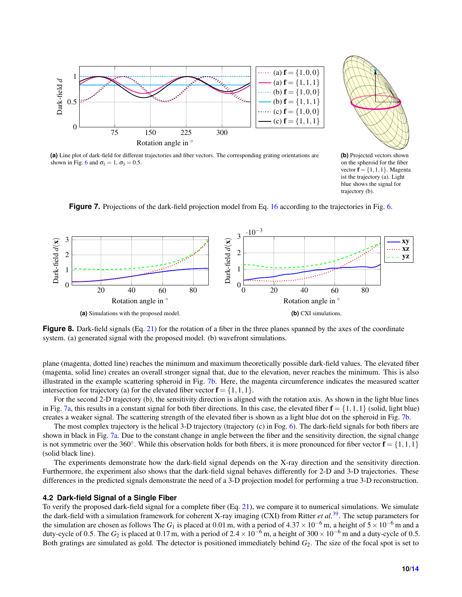<span id="page-9-1"></span>



**(a)** Line plot of dark-field for different trajectories and fiber vectors. The corresponding grating orientations are shown in Fig. [6](#page-8-2) and  $\sigma_1 = 1$ ,  $\sigma_3 = 0.5$ .

<span id="page-9-2"></span>**(b)** Projected vectors shown on the spheroid for the fiber vector  $f = \{1, 1, 1\}$ . Magenta ist the trajectory (a). Light blue shows the signal for trajectory (b).

<span id="page-9-5"></span>**Figure 7.** Projections of the dark-field projection model from Eq. [16](#page-6-1) according to the trajectories in Fig. [6.](#page-8-2)

<span id="page-9-4"></span><span id="page-9-3"></span>

**Figure 8.** Dark-field signals (Eq. [21\)](#page-7-2) for the rotation of a fiber in the three planes spanned by the axes of the coordinate system. (a) generated signal with the proposed model. (b) wavefront simulations.

plane (magenta, dotted line) reaches the minimum and maximum theoretically possible dark-field values. The elevated fiber (magenta, solid line) creates an overall stronger signal that, due to the elevation, never reaches the minimum. This is also illustrated in the example scattering spheroid in Fig. [7b.](#page-9-2) Here, the magenta circumference indicates the measured scatter intersection for trajectory (a) for the elevated fiber vector  $f = \{1, 1, 1\}$ .

For the second 2-D trajectory (b), the sensitivity direction is aligned with the rotation axis. As shown in the light blue lines in Fig. [7a,](#page-9-1) this results in a constant signal for both fiber directions. In this case, the elevated fiber  $f = \{1, 1, 1\}$  (solid, light blue) creates a weaker signal. The scattering strength of the elevated fiber is shown as a light blue dot on the spheroid in Fig. [7b.](#page-9-2)

The most complex trajectory is the helical 3-D trajectory (trajectory (c) in Fog. [6\)](#page-8-2). The dark-field signals for both fibers are shown in black in Fig. [7a.](#page-9-1) Due to the constant change in angle between the fiber and the sensitivity direction, the signal change is not symmetric over the 360°. While this observation holds for both fibers, it is more pronounced for fiber vector  $f = \{1, 1, 1\}$ (solid black line).

The experiments demonstrate how the dark-field signal depends on the X-ray direction and the sensitivity direction. Furthermore, the experiment also shows that the dark-field signal behaves differently for 2-D and 3-D trajectories. These differences in the predicted signals demonstrate the need of a 3-D projection model for performing a true 3-D reconstruction.

## <span id="page-9-0"></span>**4.2 Dark-field Signal of a Single Fiber**

To verify the proposed dark-field signal for a complete fiber (Eq. [21\)](#page-7-2), we compare it to numerical simulations. We simulate the dark-field with a simulation framework for coherent X-ray imaging (CXI) from Ritter *et al.*[39](#page-13-7). The setup parameters for the simulation are chosen as follows The  $G_1$  is placed at 0.01 m, with a period of  $4.37 \times 10^{-6}$  m, a height of  $5 \times 10^{-6}$  m and a duty-cycle of 0.5. The  $G_2$  is placed at 0.17 m, with a period of  $2.4 \times 10^{-6}$  m, a height of 300 × 10<sup>-6</sup> m and a duty-cycle of 0.5. Both gratings are simulated as gold. The detector is positioned immediately behind *G*2. The size of the focal spot is set to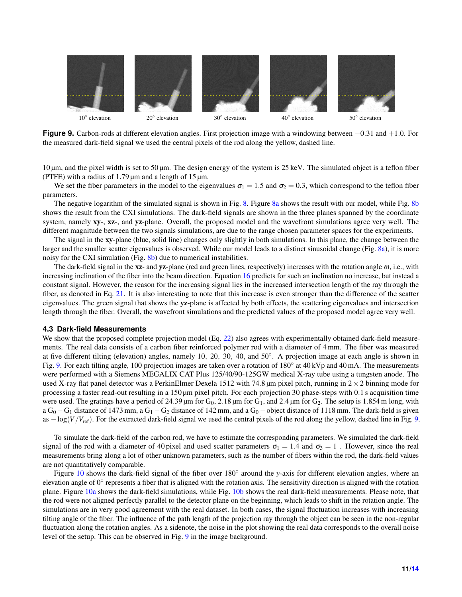<span id="page-10-2"></span>

**Figure 9.** Carbon-rods at different elevation angles. First projection image with a windowing between −0.31 and +1.0. For the measured dark-field signal we used the central pixels of the rod along the yellow, dashed line.

10 µm, and the pixel width is set to 50 µm. The design energy of the system is 25 keV. The simulated object is a teflon fiber (PTFE) with a radius of 1.79  $\mu$ m and a length of 15  $\mu$ m.

We set the fiber parameters in the model to the eigenvalues  $\sigma_1 = 1.5$  and  $\sigma_2 = 0.3$ , which correspond to the teflon fiber parameters.

The negative logarithm of the simulated signal is shown in Fig. [8.](#page-9-3) Figure [8a](#page-9-4) shows the result with our model, while Fig. [8b](#page-9-5) shows the result from the CXI simulations. The dark-field signals are shown in the three planes spanned by the coordinate system, namely xy-, xz-, and yz-plane. Overall, the proposed model and the wavefront simulations agree very well. The different magnitude between the two signals simulations, are due to the range chosen parameter spaces for the experiments.

The signal in the xy-plane (blue, solid line) changes only slightly in both simulations. In this plane, the change between the larger and the smaller scatter eigenvalues is observed. While our model leads to a distinct sinusoidal change (Fig. [8a\)](#page-9-4), it is more noisy for the CXI simulation (Fig. [8b\)](#page-9-5) due to numerical instabilities.

The dark-field signal in the xz- and yz-plane (red and green lines, respectively) increases with the rotation angle  $\omega$ , i.e., with increasing inclination of the fiber into the beam direction. Equation [16](#page-6-1) predicts for such an inclination no increase, but instead a constant signal. However, the reason for the increasing signal lies in the increased intersection length of the ray through the fiber, as denoted in Eq. [21.](#page-7-2) It is also interesting to note that this increase is even stronger than the difference of the scatter eigenvalues. The green signal that shows the yz-plane is affected by both effects, the scattering eigenvalues and intersection length through the fiber. Overall, the wavefront simulations and the predicted values of the proposed model agree very well.

## <span id="page-10-1"></span>**4.3 Dark-field Measurements**

We show that the proposed complete projection model (Eq. [22\)](#page-7-3) also agrees with experimentally obtained dark-field measurements. The real data consists of a carbon fiber reinforced polymer rod with a diameter of 4 mm. The fiber was measured at five different tilting (elevation) angles, namely 10, 20, 30, 40, and 50◦ . A projection image at each angle is shown in Fig. [9.](#page-10-2) For each tilting angle, 100 projection images are taken over a rotation of 180° at 40 kVp and 40 mA. The measurements were performed with a Siemens MEGALIX CAT Plus 125/40/90-125GW medical X-ray tube using a tungsten anode. The used X-ray flat panel detector was a PerkinElmer Dexela 1512 with 74.8  $\mu$ m pixel pitch, running in  $2 \times 2$  binning mode for processing a faster read-out resulting in a 150 µm pixel pitch. For each projection 30 phase-steps with 0.1 s acquisition time were used. The gratings have a period of 24.39  $\mu$ m for G<sub>0</sub>, 2.18  $\mu$ m for G<sub>1</sub>, and 2.4  $\mu$ m for G<sub>2</sub>. The setup is 1.854 m long, with a  $G_0 - G_1$  distance of 1473 mm, a  $G_1 - G_2$  distance of 142 mm, and a  $G_0 -$  object distance of 1118 mm. The dark-field is given as  $-\log(V/V_{\text{ref}})$ . For the extracted dark-field signal we used the central pixels of the rod along the yellow, dashed line in Fig. [9.](#page-10-2)

To simulate the dark-field of the carbon rod, we have to estimate the corresponding parameters. We simulated the dark-field signal of the rod with a diameter of 40 pixel and used scatter parameters  $\sigma_1 = 1.4$  and  $\sigma_3 = 1$ . However, since the real measurements bring along a lot of other unknown parameters, such as the number of fibers within the rod, the dark-field values are not quantitatively comparable.

<span id="page-10-0"></span>Figure [10](#page-11-4) shows the dark-field signal of the fiber over 180° around the *y*-axis for different elevation angles, where an elevation angle of  $0^{\circ}$  represents a fiber that is aligned with the rotation axis. The sensitivity direction is aligned with the rotation plane. Figure [10a](#page-11-5) shows the dark-field simulations, while Fig. [10b](#page-11-6) shows the real dark-field measurements. Please note, that the rod were not aligned perfectly parallel to the detector plane on the beginning, which leads to shift in the rotation angle. The simulations are in very good agreement with the real dataset. In both cases, the signal fluctuation increases with increasing tilting angle of the fiber. The influence of the path length of the projection ray through the object can be seen in the non-regular fluctuation along the rotation angles. As a sidenote, the noise in the plot showing the real data corresponds to the overall noise level of the setup. This can be observed in Fig. [9](#page-10-2) in the image background.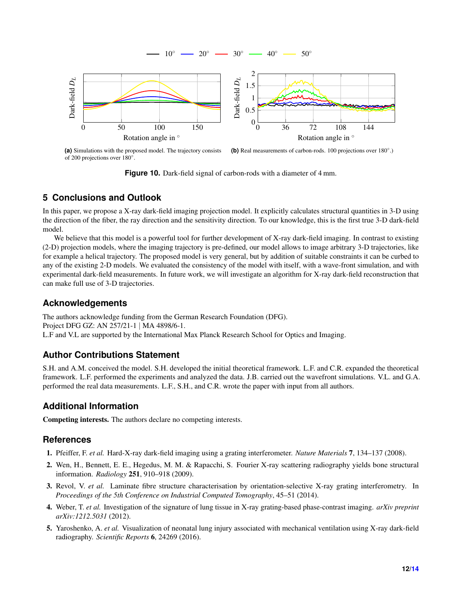<span id="page-11-5"></span><span id="page-11-4"></span>

**(a)** Simulations with the proposed model. The trajectory consists of 200 projections over 180°. (b) Real measurements of carbon-rods. 100 projections over 180°.)

<span id="page-11-6"></span>**Figure 10.** Dark-field signal of carbon-rods with a diameter of 4 mm.

# **5 Conclusions and Outlook**

In this paper, we propose a X-ray dark-field imaging projection model. It explicitly calculates structural quantities in 3-D using the direction of the fiber, the ray direction and the sensitivity direction. To our knowledge, this is the first true 3-D dark-field model.

We believe that this model is a powerful tool for further development of X-ray dark-field imaging. In contrast to existing (2-D) projection models, where the imaging trajectory is pre-defined, our model allows to image arbitrary 3-D trajectories, like for example a helical trajectory. The proposed model is very general, but by addition of suitable constraints it can be curbed to any of the existing 2-D models. We evaluated the consistency of the model with itself, with a wave-front simulation, and with experimental dark-field measurements. In future work, we will investigate an algorithm for X-ray dark-field reconstruction that can make full use of 3-D trajectories.

# **Acknowledgements**

The authors acknowledge funding from the German Research Foundation (DFG). Project DFG GZ: AN 257/21-1 | MA 4898/6-1. L.F and V.L are supported by the International Max Planck Research School for Optics and Imaging.

# **Author Contributions Statement**

S.H. and A.M. conceived the model. S.H. developed the initial theoretical framework. L.F. and C.R. expanded the theoretical framework. L.F. performed the experiments and analyzed the data. J.B. carried out the wavefront simulations. V.L. and G.A. performed the real data measurements. L.F., S.H., and C.R. wrote the paper with input from all authors.

# **Additional Information**

Competing interests. The authors declare no competing interests.

# **References**

- <span id="page-11-0"></span>1. Pfeiffer, F. *et al.* Hard-X-ray dark-field imaging using a grating interferometer. *Nature Materials* 7, 134–137 (2008).
- <span id="page-11-3"></span>2. Wen, H., Bennett, E. E., Hegedus, M. M. & Rapacchi, S. Fourier X-ray scattering radiography yields bone structural information. *Radiology* 251, 910–918 (2009).
- <span id="page-11-1"></span>3. Revol, V. *et al.* Laminate fibre structure characterisation by orientation-selective X-ray grating interferometry. In *Proceedings of the 5th Conference on Industrial Computed Tomography*, 45–51 (2014).
- <span id="page-11-2"></span>4. Weber, T. *et al.* Investigation of the signature of lung tissue in X-ray grating-based phase-contrast imaging. *arXiv preprint arXiv:1212.5031* (2012).
- 5. Yaroshenko, A. *et al.* Visualization of neonatal lung injury associated with mechanical ventilation using X-ray dark-field radiography. *Scientific Reports* 6, 24269 (2016).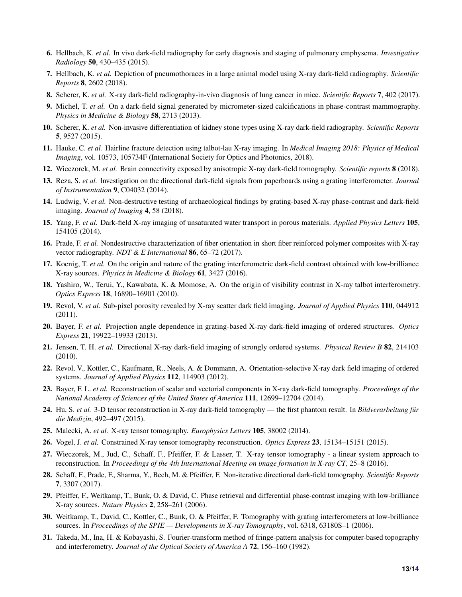- 6. Hellbach, K. *et al.* In vivo dark-field radiography for early diagnosis and staging of pulmonary emphysema. *Investigative Radiology* 50, 430–435 (2015).
- <span id="page-12-0"></span>7. Hellbach, K. *et al.* Depiction of pneumothoraces in a large animal model using X-ray dark-field radiography. *Scientific Reports* 8, 2602 (2018).
- <span id="page-12-1"></span>8. Scherer, K. *et al.* X-ray dark-field radiography-in-vivo diagnosis of lung cancer in mice. *Scientific Reports* 7, 402 (2017).
- <span id="page-12-2"></span>9. Michel, T. *et al.* On a dark-field signal generated by micrometer-sized calcifications in phase-contrast mammography. *Physics in Medicine & Biology* 58, 2713 (2013).
- <span id="page-12-3"></span>10. Scherer, K. *et al.* Non-invasive differentiation of kidney stone types using X-ray dark-field radiography. *Scientific Reports* 5, 9527 (2015).
- <span id="page-12-4"></span>11. Hauke, C. *et al.* Hairline fracture detection using talbot-lau X-ray imaging. In *Medical Imaging 2018: Physics of Medical Imaging*, vol. 10573, 105734F (International Society for Optics and Photonics, 2018).
- <span id="page-12-5"></span>12. Wieczorek, M. *et al.* Brain connectivity exposed by anisotropic X-ray dark-field tomography. *Scientific reports* 8 (2018).
- <span id="page-12-6"></span>13. Reza, S. *et al.* Investigation on the directional dark-field signals from paperboards using a grating interferometer. *Journal of Instrumentation* 9, C04032 (2014).
- 14. Ludwig, V. *et al.* Non-destructive testing of archaeological findings by grating-based X-ray phase-contrast and dark-field imaging. *Journal of Imaging* 4, 58 (2018).
- 15. Yang, F. *et al.* Dark-field X-ray imaging of unsaturated water transport in porous materials. *Applied Physics Letters* 105, 154105 (2014).
- <span id="page-12-7"></span>16. Prade, F. *et al.* Nondestructive characterization of fiber orientation in short fiber reinforced polymer composites with X-ray vector radiography. *NDT & E International* 86, 65–72 (2017).
- <span id="page-12-8"></span>17. Koenig, T. *et al.* On the origin and nature of the grating interferometric dark-field contrast obtained with low-brilliance X-ray sources. *Physics in Medicine & Biology* 61, 3427 (2016).
- <span id="page-12-9"></span>18. Yashiro, W., Terui, Y., Kawabata, K. & Momose, A. On the origin of visibility contrast in X-ray talbot interferometry. *Optics Express* 18, 16890–16901 (2010).
- <span id="page-12-10"></span>19. Revol, V. *et al.* Sub-pixel porosity revealed by X-ray scatter dark field imaging. *Journal of Applied Physics* 110, 044912 (2011).
- <span id="page-12-11"></span>20. Bayer, F. *et al.* Projection angle dependence in grating-based X-ray dark-field imaging of ordered structures. *Optics Express* 21, 19922–19933 (2013).
- <span id="page-12-12"></span>21. Jensen, T. H. *et al.* Directional X-ray dark-field imaging of strongly ordered systems. *Physical Review B* 82, 214103 (2010).
- <span id="page-12-13"></span>22. Revol, V., Kottler, C., Kaufmann, R., Neels, A. & Dommann, A. Orientation-selective X-ray dark field imaging of ordered systems. *Journal of Applied Physics* 112, 114903 (2012).
- <span id="page-12-14"></span>23. Bayer, F. L. *et al.* Reconstruction of scalar and vectorial components in X-ray dark-field tomography. *Proceedings of the National Academy of Sciences of the United States of America* 111, 12699–12704 (2014).
- <span id="page-12-20"></span>24. Hu, S. *et al.* 3-D tensor reconstruction in X-ray dark-field tomography — the first phantom result. In *Bildverarbeitung für die Medizin*, 492–497 (2015).
- <span id="page-12-21"></span>25. Malecki, A. *et al.* X-ray tensor tomography. *Europhysics Letters* 105, 38002 (2014).
- <span id="page-12-22"></span>26. Vogel, J. *et al.* Constrained X-ray tensor tomography reconstruction. *Optics Express* 23, 15134–15151 (2015).
- <span id="page-12-19"></span>27. Wieczorek, M., Jud, C., Schaff, F., Pfeiffer, F. & Lasser, T. X-ray tensor tomography - a linear system approach to reconstruction. In *Proceedings of the 4th International Meeting on image formation in X-ray CT*, 25–8 (2016).
- <span id="page-12-15"></span>28. Schaff, F., Prade, F., Sharma, Y., Bech, M. & Pfeiffer, F. Non-iterative directional dark-field tomography. *Scientific Reports* 7, 3307 (2017).
- <span id="page-12-16"></span>29. Pfeiffer, F., Weitkamp, T., Bunk, O. & David, C. Phase retrieval and differential phase-contrast imaging with low-brilliance X-ray sources. *Nature Physics* 2, 258–261 (2006).
- <span id="page-12-17"></span>30. Weitkamp, T., David, C., Kottler, C., Bunk, O. & Pfeiffer, F. Tomography with grating interferometers at low-brilliance sources. In *Proceedings of the SPIE — Developments in X-ray Tomography*, vol. 6318, 63180S–1 (2006).
- <span id="page-12-18"></span>31. Takeda, M., Ina, H. & Kobayashi, S. Fourier-transform method of fringe-pattern analysis for computer-based topography and interferometry. *Journal of the Optical Society of America A* 72, 156–160 (1982).